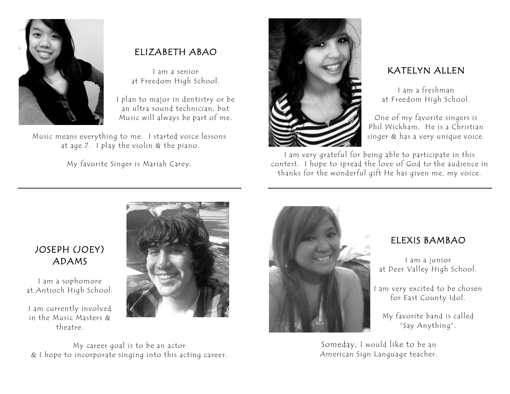

## ELIZABETH ABAO

I am a senior at Freedom High School.

I plan to major in dentistry or be an ultra sound technician, but Music will always be part of me.

Music means everything to me. I started voice lessons at age 7. I play the violin & the piano.

My favorite Singer is Mariah Carey.



## KATELYN ALLEN

I am a freshman at Freedom High School.

One of my favorite singers is Phil Wickham. He is a Christian singer & has a very unique voice.

I am very grateful for being able to participate in this contest. I hope to spread the love of God to the audience in thanks for the wonderful gift He has given me, my voice.

## JOSEPH (JOEY) ADAMS

I am a sophomore at Antioch High School.

I am currently involved in the Music Masters & theatre.



My career goal is to be an actor & I hope to incorporate singing into this acting caree r.



#### ELEXIS BAMBAO

I am a junior at Deer Valley High School.

I am very excited to be chosen for East County Idol.

My favorite band is called "Say Anything".

Someday, I would like to be an American Sign Language teacher.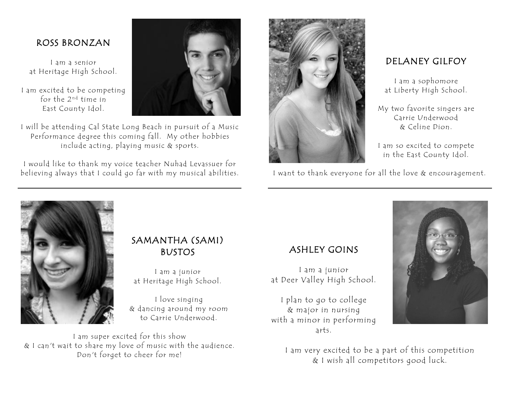#### ROSS BRONZAN

I am a senior at Heritage High School.

I am excited to be competing for the 2<sup>nd</sup> time in East County Idol.



I will be attending Cal State Long Beach in pursuit of a Music Performance degree this coming fall. My other hobbies include acting, playing music & sports.

I would like to thank my voice teacher Nuhad Levassuer for believing always that I could go far with my musical abilities.



#### DELANEY GILFOY

I am a sophomore at Liberty High School.

My two favorite singers are Carrie Underwood & Celine Dion.

I am so excited to compete in the East County Idol.

I want to thank everyone for all the love & encouragement.



#### SAMANTHA (SAMI) BUSTOS

I am a junior at Heritage High School.

I love singing & dancing around my room to Carrie Underwood.

I am super excited for this show & I can't wait to share my love of music with the audience. Don't forget to cheer for me!

## ASHLEY GOINS

I am a junior at Deer Valley High School.

I plan to go to college & major in nursing with a minor in performing arts.



I am very excited to be a part of this competition & I wish all competitors good luck.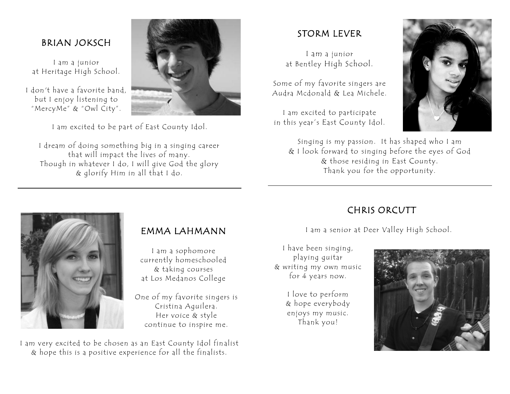#### BRIAN JOKSCH

I am a junior at Heritage High School.

I don't have a favorite band, but I enjoy listening to "MercyMe" & "Owl City".



I am excited to be part of East County Idol.

I dream of doing something big in a singing career that will impact the lives of many. Though in whatever I do, I will give God the glory & glorify Him in all that I do.

### STORM LEVER

I am a junior at Bentley High School.

Some of my favorite singers are Audra Mcdonald & Lea Michele.

I am excited to participate in this year's East County Idol.



Singing is my passion. It has shaped who I am & I look forward to singing before the eyes of God & those residing in East County. Thank you for the opportunity.



#### EMMA LAHMANN

I am a sophomore currently homeschooled & taking courses at Los Medanos College

One of my favorite singers is Cristina Aguilera. Her voice & style continue to inspire me.

I am very excited to be chosen as an East County Idol fin alist & hope this is a positive experience for all the finalists.

# CHRIS ORCUTT

I am a senior at Deer Valley High School.

I have been singing, playing guitar & writing my own music for 4 years now.

> I love to perform & hope everybody enjoys my music. Thank you!

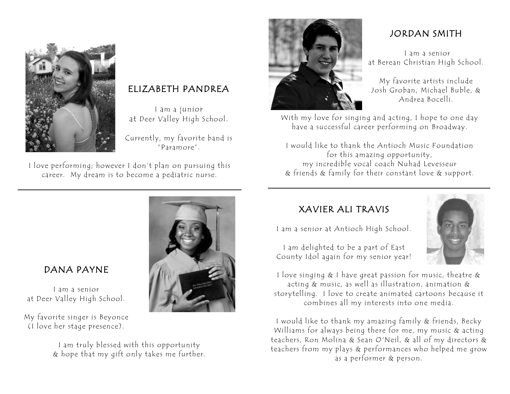

## ELIZABETH PANDREA

I am a junior at Deer Valley High School.

Currently, my favorite band is "Paramore".

I love performing; however I don't plan on pursuing this career. My dream is to become a pediatric nurse.



## DANA PAYNE

I am a senior at Deer Valley High School.

My favorite singer is Beyonce (I love her stage presence).

> I am truly blessed with this opportunity & hope that my gift only takes me further.



## JORDAN SMITH

I am a senior at Berean Christian High School.

My favorite artists include Josh Groban, Michael Buble, & Andrea Bocelli.

With my love for singing and acting, I hope to one day have a successful career performing on Broadway.

I would like to thank the Antioch Music Foundation for this amazing opportunity, my incredible vocal coach Nuhad Levesseur & friends & family for their constant love & support.

## XAVIER ALI TRAVIS

I am a senior at Antioch High School.



I am delighted to be a part of East County Idol again for my senior year!

I love singing & I have great passion for music, theatre & acting & music, as well as illustration, animation & storytelling. I love to create animated cartoons because it combines all my interests into one media.

I would like to thank my amazing family & friends, Becky Williams for always being there for me, my music & acting teachers, Ron Molina & Sean O'Neil, & all of my directors & teachers from my plays & performances who helped me grow as a performer & person.